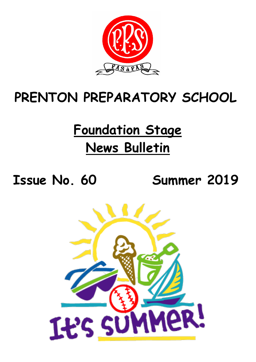

## **PRENTON PREPARATORY SCHOOL**

# **Foundation Stage News Bulletin**

**Issue No. 60 Summer 2019**

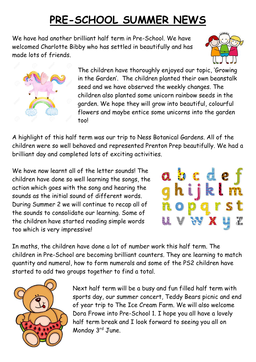### **PRE-SCHOOL SUMMER NEWS**

We have had another brilliant half term in Pre-School. We have welcomed Charlotte Bibby who has settled in beautifully and has made lots of friends.





The children have thoroughly enjoyed our topic, 'Growing in the Garden'. The children planted their own beanstalk seed and we have observed the weekly changes. The children also planted some unicorn rainbow seeds in the garden. We hope they will grow into beautiful, colourful flowers and maybe entice some unicorns into the garden too!

A highlight of this half term was our trip to Ness Botanical Gardens. All of the children were so well behaved and represented Prenton Prep beautifully. We had a brilliant day and completed lots of exciting activities.

We have now learnt all of the letter sounds! The children have done so well learning the songs, the action which goes with the song and hearing the sounds as the initial sound of different words. During Summer 2 we will continue to recap all of the sounds to consolidate our learning. Some of the children have started reading simple words too which is very impressive!



In maths, the children have done a lot of number work this half term. The children in Pre-School are becoming brilliant counters. They are learning to match quantity and numeral, how to form numerals and some of the PS2 children have started to add two groups together to find a total.



Next half term will be a busy and fun filled half term with sports day, our summer concert, Teddy Bears picnic and end of year trip to The Ice Cream Farm. We will also welcome Dora Frowe into Pre-School 1. I hope you all have a lovely half term break and I look forward to seeing you all on Monday 3rd June.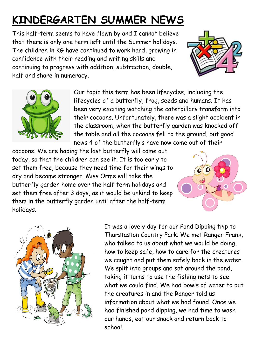### **KINDERGARTEN SUMMER NEWS**

This half-term seems to have flown by and I cannot believe that there is only one term left until the Summer holidays. The children in KG have continued to work hard, growing in confidence with their reading and writing skills and continuing to progress with addition, subtraction, double, half and share in numeracy.





Our topic this term has been lifecycles, including the lifecycles of a butterfly, frog, seeds and humans. It has been very exciting watching the caterpillars transform into their cocoons. Unfortunately, there was a slight accident in the classroom, when the butterfly garden was knocked off the table and all the cocoons fell to the ground, but good news 4 of the butterfly's have now come out of their

cocoons. We are hoping the last butterfly will come out today, so that the children can see it. It is too early to set them free, because they need time for their wings to dry and become stronger. Miss Orme will take the butterfly garden home over the half term holidays and set them free after 3 days, as it would be unkind to keep them in the butterfly garden until after the half-term holidays.





It was a lovely day for our Pond Dipping trip to Thurstaston Country Park. We met Ranger Frank, who talked to us about what we would be doing, how to keep safe, how to care for the creatures we caught and put them safely back in the water. We split into groups and sat around the pond, taking it turns to use the fishing nets to see what we could find. We had bowls of water to put the creatures in and the Ranger told us information about what we had found. Once we had finished pond dipping, we had time to wash our hands, eat our snack and return back to school.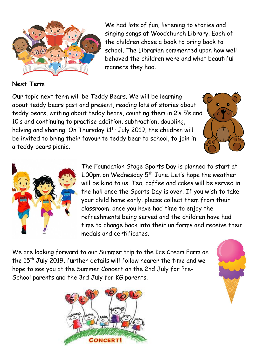

We had lots of fun, listening to stories and singing songs at Woodchurch Library. Each of the children chose a book to bring back to school. The Librarian commented upon how well behaved the children were and what beautiful manners they had.

#### **Next Term**

Our topic next term will be Teddy Bears. We will be learning about teddy bears past and present, reading lots of stories about teddy bears, writing about teddy bears, counting them in 2's 5's and 10's and continuing to practise addition, subtraction, doubling, halving and sharing. On Thursday  $11<sup>th</sup>$  July 2019, the children will be invited to bring their favourite teddy bear to school, to join in a teddy bears picnic.





The Foundation Stage Sports Day is planned to start at 1.00pm on Wednesday  $5^{th}$  June. Let's hope the weather will be kind to us. Tea, coffee and cakes will be served in the hall once the Sports Day is over. If you wish to take your child home early, please collect them from their classroom, once you have had time to enjoy the refreshments being served and the children have had time to change back into their uniforms and receive their medals and certificates.

We are looking forward to our Summer trip to the Ice Cream Farm on the 15<sup>th</sup> July 2019, further details will follow nearer the time and we hope to see you at the Summer Concert on the 2nd July for Pre-School parents and the 3rd July for KG parents.